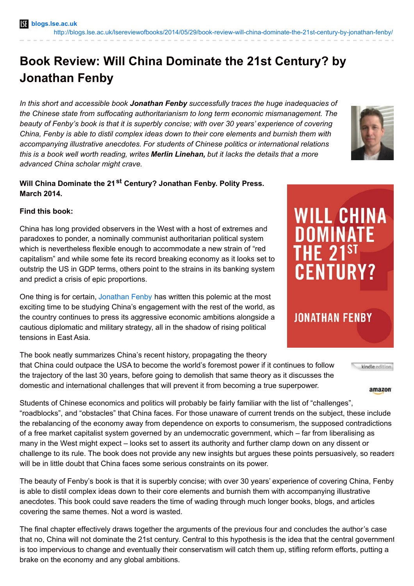## **Book Review: Will China Dominate the 21st Century? by Jonathan Fenby**

*In this short and accessible book Jonathan Fenby successfully traces the huge inadequacies of the Chinese state from suffocating authoritarianism to long term economic mismanagement. The beauty of Fenby's book is that it is superbly concise; with over 30 years' experience of covering China, Fenby is able to distil complex ideas down to their core elements and burnish them with accompanying illustrative anecdotes. For students of Chinese politics or international relations this is a book well worth reading, writes Merlin Linehan, but it lacks the details that a more advanced China scholar might crave.*

## **Will China Dominate the 21 st Century? Jonathan Fenby. Polity Press. March 2014.**

## **Find this book:**

China has long provided observers in the West with a host of extremes and paradoxes to ponder, a nominally communist authoritarian political system which is nevertheless flexible enough to accommodate a new strain of "red capitalism" and while some fete its record breaking economy as it looks set to outstrip the US in GDP terms, others point to the strains in its banking system and predict a crisis of epic proportions.

One thing is for certain, [Jonathan](http://www.trustedsources.co.uk/our-team/biographies/jonathan-fenby) Fenby has written this polemic at the most exciting time to be studying China's engagement with the rest of the world, as the country continues to press its aggressive economic ambitions alongside a cautious diplomatic and military strategy, all in the shadow of rising political tensions in East Asia.

The book neatly summarizes China's recent history, propagating the theory that China could outpace the USA to become the world's foremost power if it continues to follow the trajectory of the last 30 years, before going to demolish that same theory as it discusses the domestic and international challenges that will prevent it from becoming a true superpower.

amazon

kindle edition

Students of Chinese economics and politics will probably be fairly familiar with the list of "challenges", "roadblocks", and "obstacles" that China faces. For those unaware of current trends on the subject, these include the rebalancing of the economy away from dependence on exports to consumerism, the supposed contradictions of a free market capitalist system governed by an undemocratic government, which – far from liberalising as many in the West might expect – looks set to assert its authority and further clamp down on any dissent or challenge to its rule. The book does not provide any new insights but argues these points persuasively, so readers will be in little doubt that China faces some serious constraints on its power.

The beauty of Fenby's book is that it is superbly concise; with over 30 years' experience of covering China, Fenby is able to distil complex ideas down to their core elements and burnish them with accompanying illustrative anecdotes. This book could save readers the time of wading through much longer books, blogs, and articles covering the same themes. Not a word is wasted.

The final chapter effectively draws together the arguments of the previous four and concludes the author's case that no, China will not dominate the 21st century. Central to this hypothesis is the idea that the central government is too impervious to change and eventually their conservatism will catch them up, stifling reform efforts, putting a brake on the economy and any global ambitions.



**WILL CHINA DOMINATE THE 21 CENTURY? JONATHAN FENBY**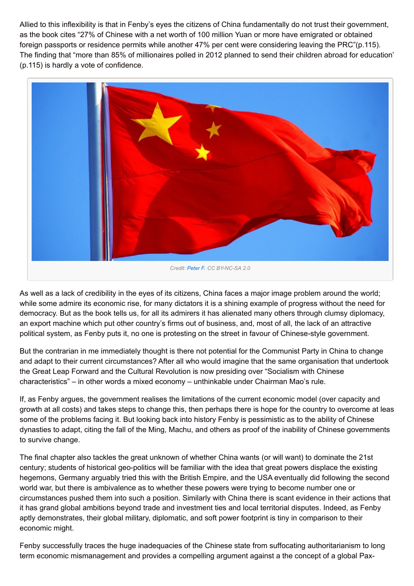Allied to this inflexibility is that in Fenby's eyes the citizens of China fundamentally do not trust their government, as the book cites "27% of Chinese with a net worth of 100 million Yuan or more have emigrated or obtained foreign passports or residence permits while another 47% per cent were considering leaving the PRC"(p.115). The finding that "more than 85% of millionaires polled in 2012 planned to send their children abroad for education" (p.115) is hardly a vote of confidence.



As well as a lack of credibility in the eyes of its citizens, China faces a major image problem around the world; while some admire its economic rise, for many dictators it is a shining example of progress without the need for democracy. But as the book tells us, for all its admirers it has alienated many others through clumsy diplomacy, an export machine which put other country's firms out of business, and, most of all, the lack of an attractive political system, as Fenby puts it, no one is protesting on the street in favour of Chinese-style government.

But the contrarian in me immediately thought is there not potential for the Communist Party in China to change and adapt to their current circumstances? After all who would imagine that the same organisation that undertook the Great Leap Forward and the Cultural Revolution is now presiding over "Socialism with Chinese characteristics" – in other words a mixed economy – unthinkable under Chairman Mao's rule.

If, as Fenby argues, the government realises the limitations of the current economic model (over capacity and growth at all costs) and takes steps to change this, then perhaps there is hope for the country to overcome at leas some of the problems facing it. But looking back into history Fenby is pessimistic as to the ability of Chinese dynasties to adapt, citing the fall of the Ming, Machu, and others as proof of the inability of Chinese governments to survive change.

The final chapter also tackles the great unknown of whether China wants (or will want) to dominate the 21st century; students of historical geo-politics will be familiar with the idea that great powers displace the existing hegemons, Germany arguably tried this with the British Empire, and the USA eventually did following the second world war, but there is ambivalence as to whether these powers were trying to become number one or circumstances pushed them into such a position. Similarly with China there is scant evidence in their actions that it has grand global ambitions beyond trade and investment ties and local territorial disputes. Indeed, as Fenby aptly demonstrates, their global military, diplomatic, and soft power footprint is tiny in comparison to their economic might.

Fenby successfully traces the huge inadequacies of the Chinese state from suffocating authoritarianism to long term economic mismanagement and provides a compelling argument against a the concept of a global Pax